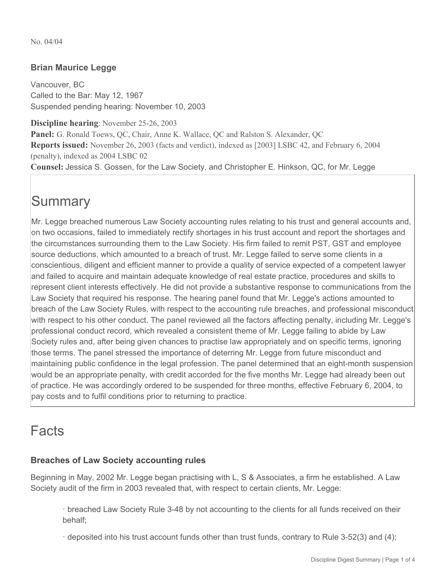No. 04/04

## **Brian Maurice Legge**

Vancouver, BC Called to the Bar: May 12, 1967 Suspended pending hearing: November 10, 2003

**Discipline hearing**: November 25-26, 2003 **Panel:** G. Ronald Toews, QC, Chair, Anne K. Wallace, QC and Ralston S. Alexander, QC **Reports issued:** November 26, 2003 (facts and verdict), indexed as [2003] LSBC 42, and February 6, 2004 (penalty), indexed as 2004 LSBC 02 **Counsel:** Jessica S. Gossen, for the Law Society, and Christopher E. Hinkson, QC, for Mr. Legge

# **Summary**

Mr. Legge breached numerous Law Society accounting rules relating to his trust and general accounts and, on two occasions, failed to immediately rectify shortages in his trust account and report the shortages and the circumstances surrounding them to the Law Society. His firm failed to remit PST, GST and employee source deductions, which amounted to a breach of trust. Mr. Legge failed to serve some clients in a conscientious, diligent and efficient manner to provide a quality of service expected of a competent lawyer and failed to acquire and maintain adequate knowledge of real estate practice, procedures and skills to represent client interests effectively. He did not provide a substantive response to communications from the Law Society that required his response. The hearing panel found that Mr. Legge's actions amounted to breach of the Law Society Rules, with respect to the accounting rule breaches, and professional misconduct with respect to his other conduct. The panel reviewed all the factors affecting penalty, including Mr. Legge's professional conduct record, which revealed a consistent theme of Mr. Legge failing to abide by Law Society rules and, after being given chances to practise law appropriately and on specific terms, ignoring those terms. The panel stressed the importance of deterring Mr. Legge from future misconduct and maintaining public confidence in the legal profession. The panel determined that an eight-month suspension would be an appropriate penalty, with credit accorded for the five months Mr. Legge had already been out of practice. He was accordingly ordered to be suspended for three months, effective February 6, 2004, to pay costs and to fulfil conditions prior to returning to practice.

## Facts

## **Breaches of Law Society accounting rules**

Beginning in May, 2002 Mr. Legge began practising with L, S & Associates, a firm he established. A Law Society audit of the firm in 2003 revealed that, with respect to certain clients, Mr. Legge:

· breached Law Society Rule 3-48 by not accounting to the clients for all funds received on their behalf;

· deposited into his trust account funds other than trust funds, contrary to Rule 3-52(3) and (4);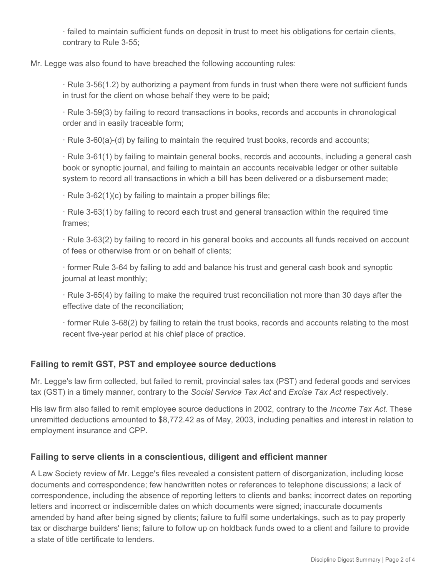· failed to maintain sufficient funds on deposit in trust to meet his obligations for certain clients, contrary to Rule 3-55;

Mr. Legge was also found to have breached the following accounting rules:

· Rule 3-56(1.2) by authorizing a payment from funds in trust when there were not sufficient funds in trust for the client on whose behalf they were to be paid;

· Rule 3-59(3) by failing to record transactions in books, records and accounts in chronological order and in easily traceable form;

· Rule 3-60(a)-(d) by failing to maintain the required trust books, records and accounts;

· Rule 3-61(1) by failing to maintain general books, records and accounts, including a general cash book or synoptic journal, and failing to maintain an accounts receivable ledger or other suitable system to record all transactions in which a bill has been delivered or a disbursement made;

· Rule 3-62(1)(c) by failing to maintain a proper billings file;

· Rule 3-63(1) by failing to record each trust and general transaction within the required time frames;

· Rule 3-63(2) by failing to record in his general books and accounts all funds received on account of fees or otherwise from or on behalf of clients;

· former Rule 3-64 by failing to add and balance his trust and general cash book and synoptic journal at least monthly;

· Rule 3-65(4) by failing to make the required trust reconciliation not more than 30 days after the effective date of the reconciliation;

· former Rule 3-68(2) by failing to retain the trust books, records and accounts relating to the most recent five-year period at his chief place of practice.

## **Failing to remit GST, PST and employee source deductions**

Mr. Legge's law firm collected, but failed to remit, provincial sales tax (PST) and federal goods and services tax (GST) in a timely manner, contrary to the *Social Service Tax Act* and *Excise Tax Act* respectively.

His law firm also failed to remit employee source deductions in 2002, contrary to the *Income Tax Act*. These unremitted deductions amounted to \$8,772.42 as of May, 2003, including penalties and interest in relation to employment insurance and CPP.

#### **Failing to serve clients in a conscientious, diligent and efficient manner**

A Law Society review of Mr. Legge's files revealed a consistent pattern of disorganization, including loose documents and correspondence; few handwritten notes or references to telephone discussions; a lack of correspondence, including the absence of reporting letters to clients and banks; incorrect dates on reporting letters and incorrect or indiscernible dates on which documents were signed; inaccurate documents amended by hand after being signed by clients; failure to fulfil some undertakings, such as to pay property tax or discharge builders' liens; failure to follow up on holdback funds owed to a client and failure to provide a state of title certificate to lenders.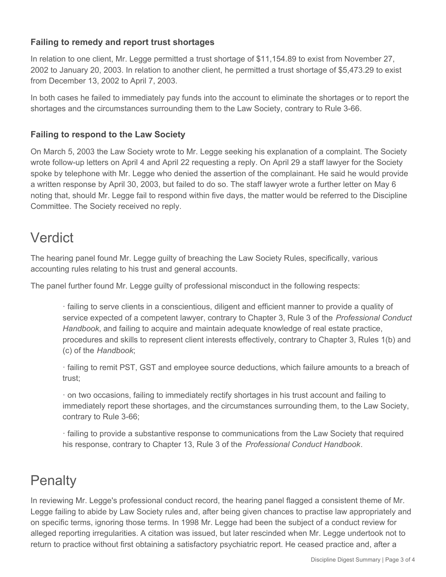## **Failing to remedy and report trust shortages**

In relation to one client, Mr. Legge permitted a trust shortage of \$11,154.89 to exist from November 27, 2002 to January 20, 2003. In relation to another client, he permitted a trust shortage of \$5,473.29 to exist from December 13, 2002 to April 7, 2003.

In both cases he failed to immediately pay funds into the account to eliminate the shortages or to report the shortages and the circumstances surrounding them to the Law Society, contrary to Rule 3-66.

## **Failing to respond to the Law Society**

On March 5, 2003 the Law Society wrote to Mr. Legge seeking his explanation of a complaint. The Society wrote follow-up letters on April 4 and April 22 requesting a reply. On April 29 a staff lawyer for the Society spoke by telephone with Mr. Legge who denied the assertion of the complainant. He said he would provide a written response by April 30, 2003, but failed to do so. The staff lawyer wrote a further letter on May 6 noting that, should Mr. Legge fail to respond within five days, the matter would be referred to the Discipline Committee. The Society received no reply.

## Verdict

The hearing panel found Mr. Legge guilty of breaching the Law Society Rules, specifically, various accounting rules relating to his trust and general accounts.

The panel further found Mr. Legge guilty of professional misconduct in the following respects:

· failing to serve clients in a conscientious, diligent and efficient manner to provide a quality of service expected of a competent lawyer, contrary to Chapter 3, Rule 3 of the *Professional Conduct Handbook*, and failing to acquire and maintain adequate knowledge of real estate practice, procedures and skills to represent client interests effectively, contrary to Chapter 3, Rules 1(b) and (c) of the *Handbook*;

· failing to remit PST, GST and employee source deductions, which failure amounts to a breach of trust;

· on two occasions, failing to immediately rectify shortages in his trust account and failing to immediately report these shortages, and the circumstances surrounding them, to the Law Society, contrary to Rule 3-66;

· failing to provide a substantive response to communications from the Law Society that required his response, contrary to Chapter 13, Rule 3 of the *Professional Conduct Handbook*.

# **Penalty**

In reviewing Mr. Legge's professional conduct record, the hearing panel flagged a consistent theme of Mr. Legge failing to abide by Law Society rules and, after being given chances to practise law appropriately and on specific terms, ignoring those terms. In 1998 Mr. Legge had been the subject of a conduct review for alleged reporting irregularities. A citation was issued, but later rescinded when Mr. Legge undertook not to return to practice without first obtaining a satisfactory psychiatric report. He ceased practice and, after a